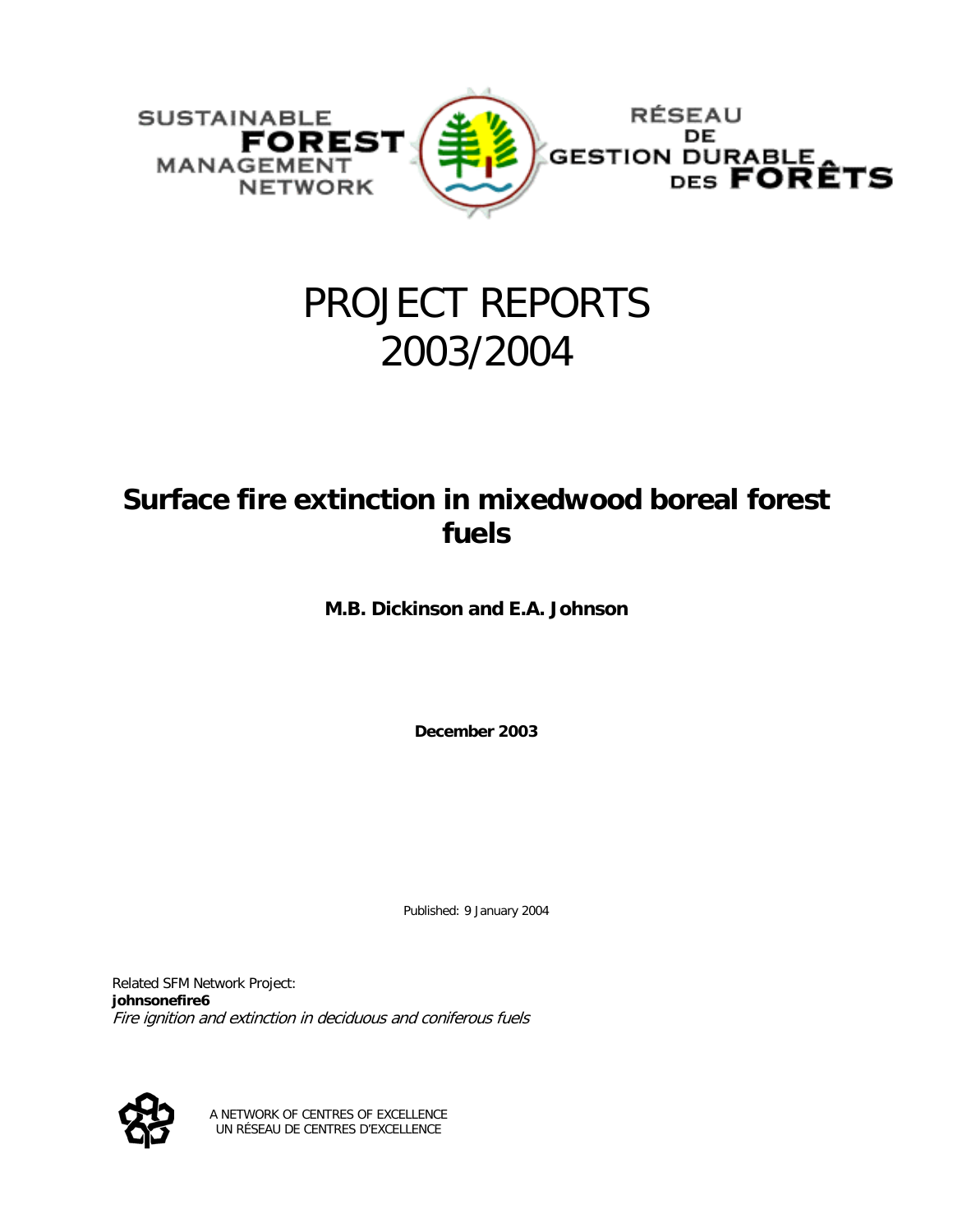

## PROJECT REPORTS 2003/2004

### **Surface fire extinction in mixedwood boreal forest fuels**

**M.B. Dickinson and E.A. Johnson** 

**December 2003** 

Published: 9 January 2004

Related SFM Network Project: **johnsonefire6** Fire ignition and extinction in deciduous and coniferous fuels



A NETWORK OF CENTRES OF EXCELLENCE UN RÉSEAU DE CENTRES D'EXCELLENCE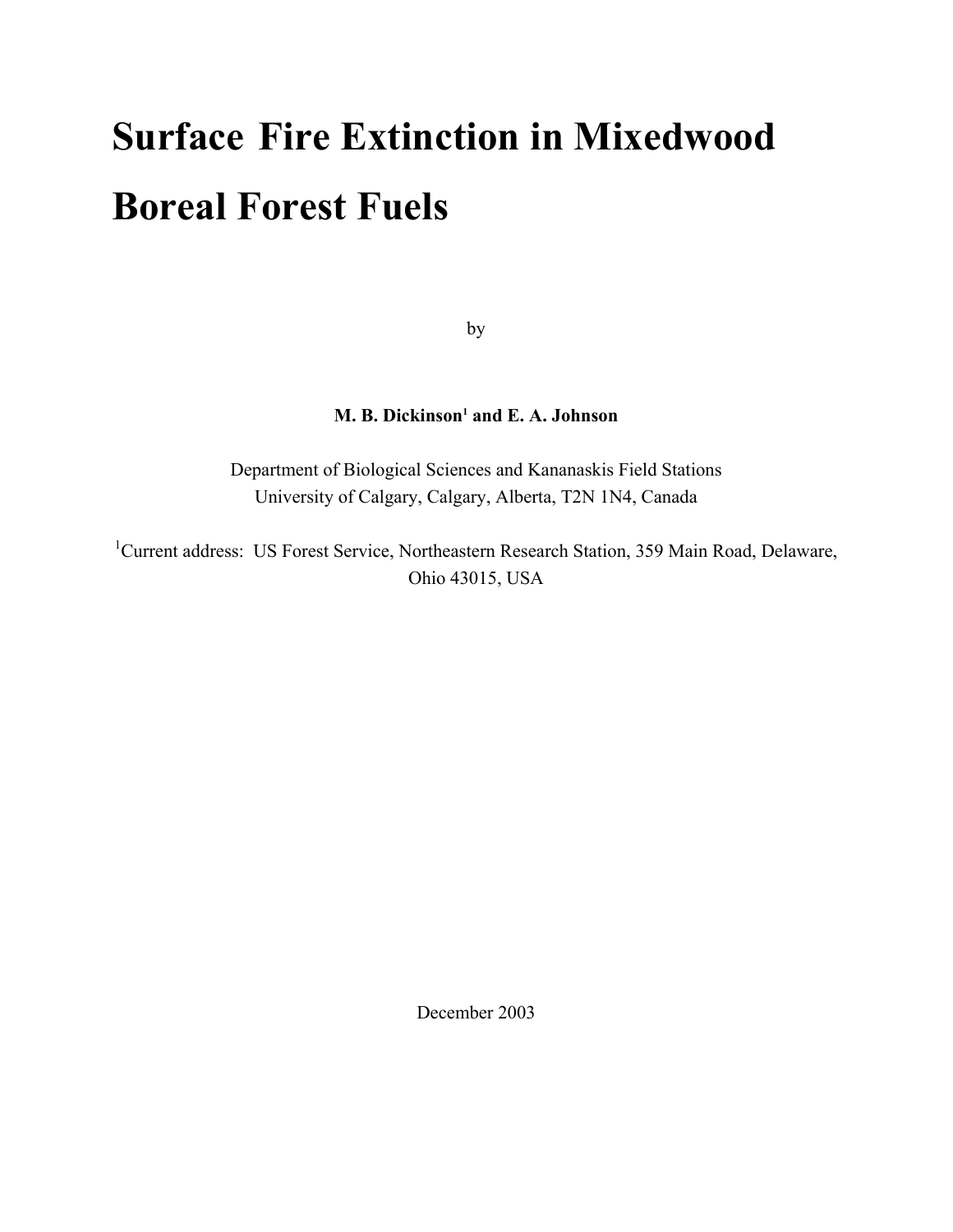# **Surface Fire Extinction in Mixedwood Boreal Forest Fuels**

by

#### **M. B. Dickinson<sup>1</sup> and E. A. Johnson**

Department of Biological Sciences and Kananaskis Field Stations University of Calgary, Calgary, Alberta, T2N 1N4, Canada

<sup>1</sup>Current address: US Forest Service, Northeastern Research Station, 359 Main Road, Delaware, Ohio 43015, USA

December 2003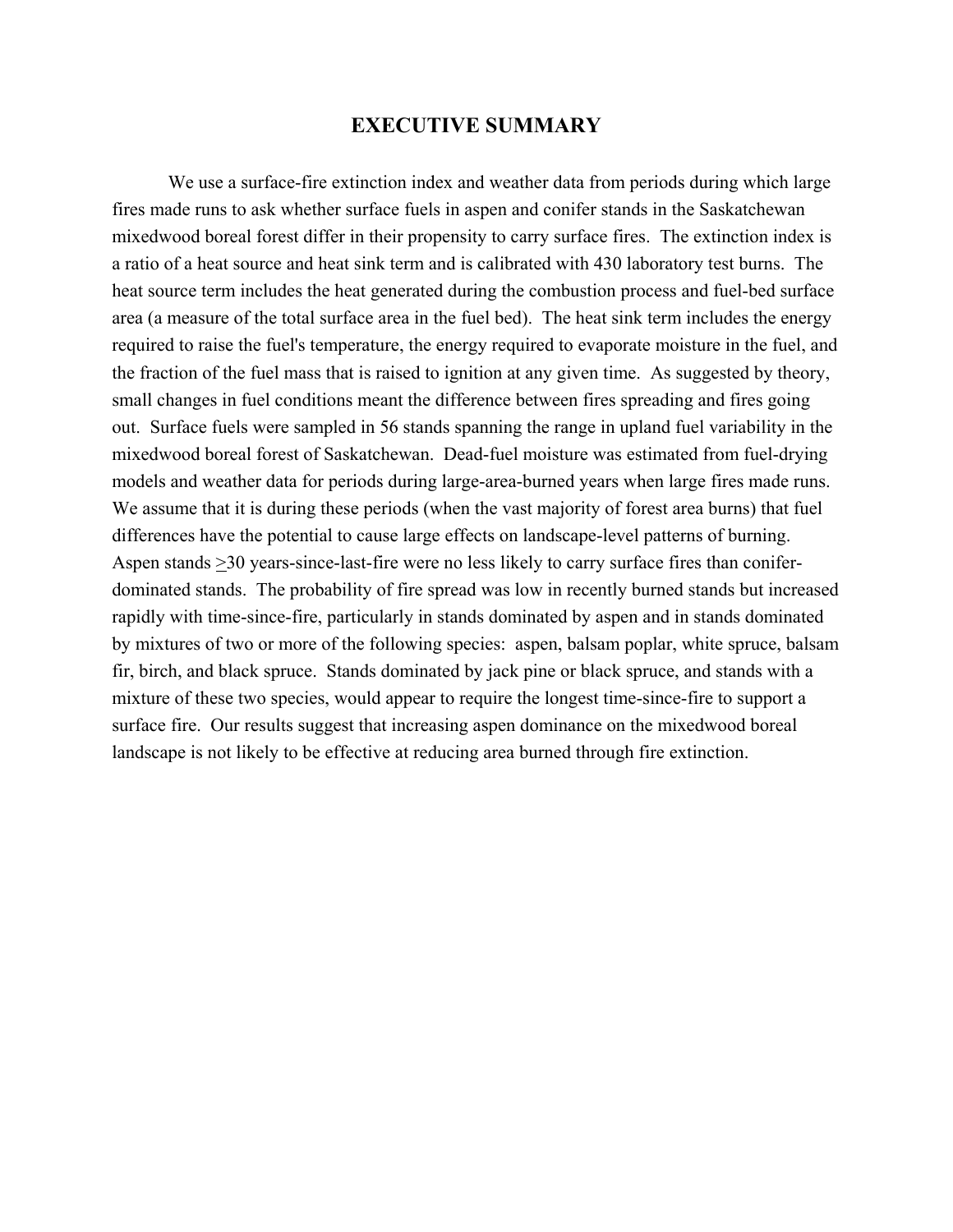#### **EXECUTIVE SUMMARY**

We use a surface-fire extinction index and weather data from periods during which large fires made runs to ask whether surface fuels in aspen and conifer stands in the Saskatchewan mixedwood boreal forest differ in their propensity to carry surface fires. The extinction index is a ratio of a heat source and heat sink term and is calibrated with 430 laboratory test burns. The heat source term includes the heat generated during the combustion process and fuel-bed surface area (a measure of the total surface area in the fuel bed). The heat sink term includes the energy required to raise the fuel's temperature, the energy required to evaporate moisture in the fuel, and the fraction of the fuel mass that is raised to ignition at any given time. As suggested by theory, small changes in fuel conditions meant the difference between fires spreading and fires going out. Surface fuels were sampled in 56 stands spanning the range in upland fuel variability in the mixedwood boreal forest of Saskatchewan. Dead-fuel moisture was estimated from fuel-drying models and weather data for periods during large-area-burned years when large fires made runs. We assume that it is during these periods (when the vast majority of forest area burns) that fuel differences have the potential to cause large effects on landscape-level patterns of burning. Aspen stands  $\geq$  30 years-since-last-fire were no less likely to carry surface fires than coniferdominated stands. The probability of fire spread was low in recently burned stands but increased rapidly with time-since-fire, particularly in stands dominated by aspen and in stands dominated by mixtures of two or more of the following species: aspen, balsam poplar, white spruce, balsam fir, birch, and black spruce. Stands dominated by jack pine or black spruce, and stands with a mixture of these two species, would appear to require the longest time-since-fire to support a surface fire. Our results suggest that increasing aspen dominance on the mixedwood boreal landscape is not likely to be effective at reducing area burned through fire extinction.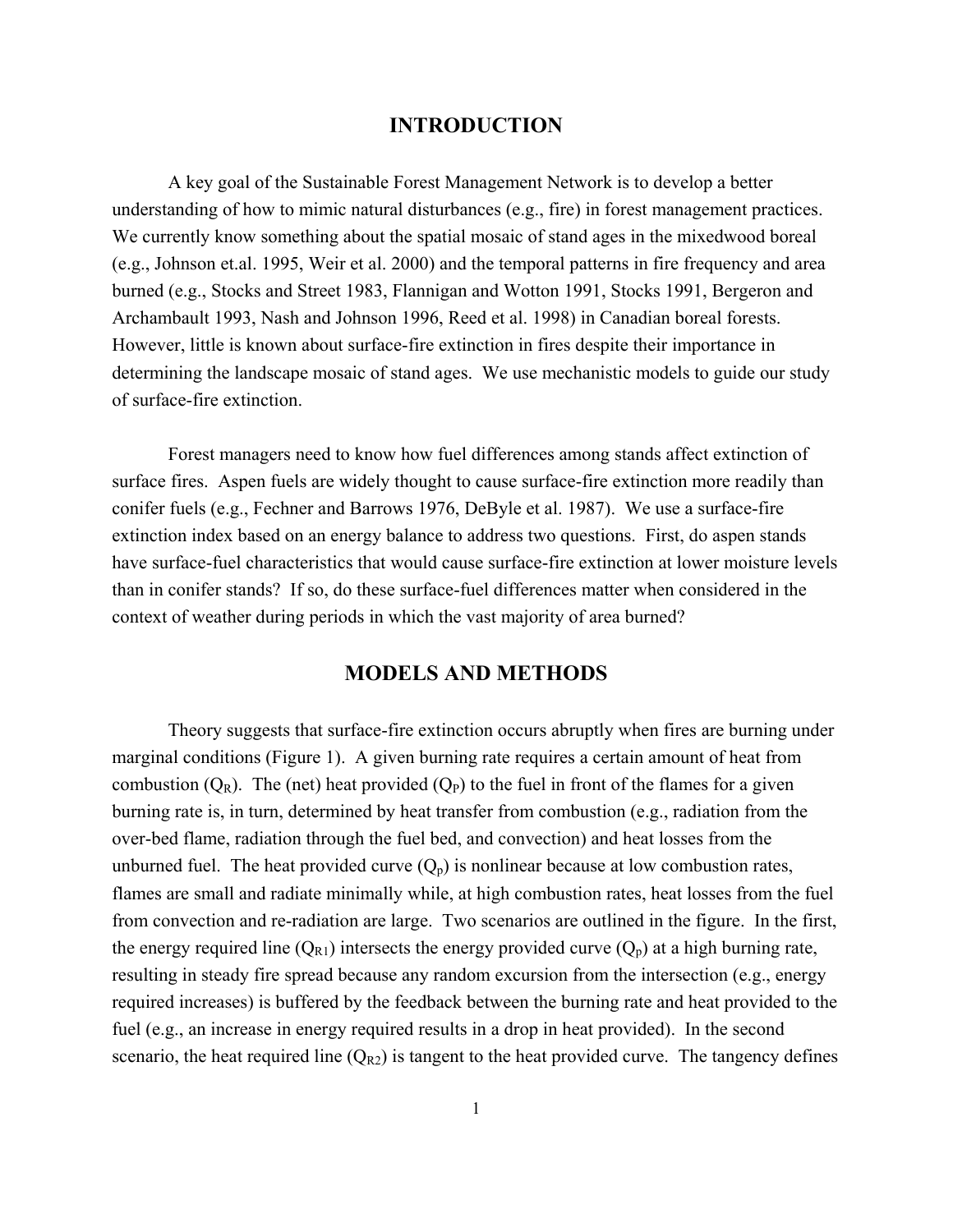#### **INTRODUCTION**

A key goal of the Sustainable Forest Management Network is to develop a better understanding of how to mimic natural disturbances (e.g., fire) in forest management practices. We currently know something about the spatial mosaic of stand ages in the mixedwood boreal (e.g., Johnson et.al. 1995, Weir et al. 2000) and the temporal patterns in fire frequency and area burned (e.g., Stocks and Street 1983, Flannigan and Wotton 1991, Stocks 1991, Bergeron and Archambault 1993, Nash and Johnson 1996, Reed et al. 1998) in Canadian boreal forests. However, little is known about surface-fire extinction in fires despite their importance in determining the landscape mosaic of stand ages. We use mechanistic models to guide our study of surface-fire extinction.

Forest managers need to know how fuel differences among stands affect extinction of surface fires. Aspen fuels are widely thought to cause surface-fire extinction more readily than conifer fuels (e.g., Fechner and Barrows 1976, DeByle et al. 1987). We use a surface-fire extinction index based on an energy balance to address two questions. First, do aspen stands have surface-fuel characteristics that would cause surface-fire extinction at lower moisture levels than in conifer stands? If so, do these surface-fuel differences matter when considered in the context of weather during periods in which the vast majority of area burned?

#### **MODELS AND METHODS**

Theory suggests that surface-fire extinction occurs abruptly when fires are burning under marginal conditions (Figure 1). A given burning rate requires a certain amount of heat from combustion  $(Q_R)$ . The (net) heat provided  $(Q_P)$  to the fuel in front of the flames for a given burning rate is, in turn, determined by heat transfer from combustion (e.g., radiation from the over-bed flame, radiation through the fuel bed, and convection) and heat losses from the unburned fuel. The heat provided curve  $(Q_p)$  is nonlinear because at low combustion rates, flames are small and radiate minimally while, at high combustion rates, heat losses from the fuel from convection and re-radiation are large. Two scenarios are outlined in the figure. In the first, the energy required line  $(Q_{R1})$  intersects the energy provided curve  $(Q_p)$  at a high burning rate, resulting in steady fire spread because any random excursion from the intersection (e.g., energy required increases) is buffered by the feedback between the burning rate and heat provided to the fuel (e.g., an increase in energy required results in a drop in heat provided). In the second scenario, the heat required line  $(Q_{R2})$  is tangent to the heat provided curve. The tangency defines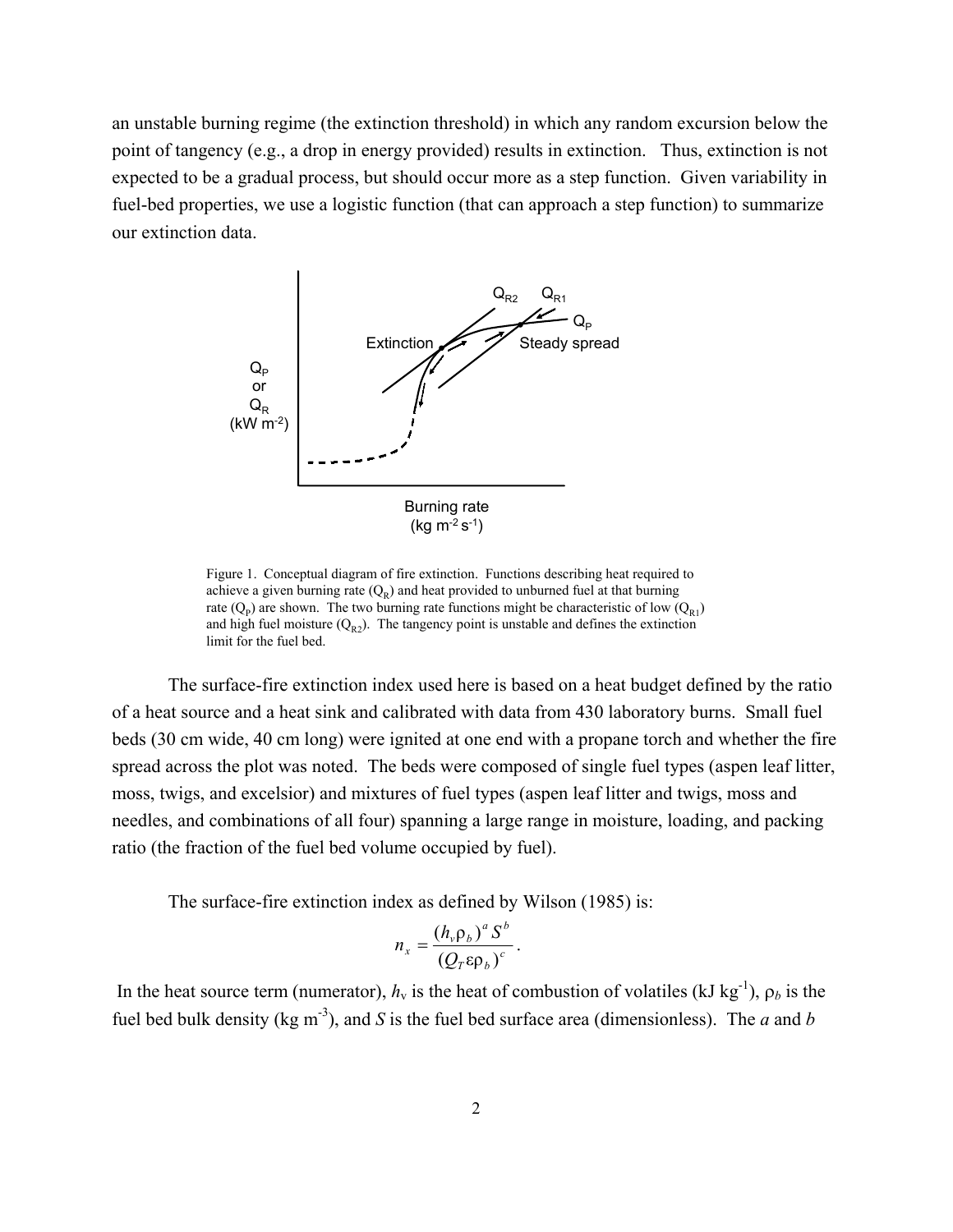an unstable burning regime (the extinction threshold) in which any random excursion below the point of tangency (e.g., a drop in energy provided) results in extinction. Thus, extinction is not expected to be a gradual process, but should occur more as a step function. Given variability in fuel-bed properties, we use a logistic function (that can approach a step function) to summarize our extinction data.



Figure 1. Conceptual diagram of fire extinction. Functions describing heat required to achieve a given burning rate  $(Q_R)$  and heat provided to unburned fuel at that burning rate  $(Q_p)$  are shown. The two burning rate functions might be characteristic of low  $(Q_{R1})$ and high fuel moisture  $(Q_{R2})$ . The tangency point is unstable and defines the extinction limit for the fuel bed.

The surface-fire extinction index used here is based on a heat budget defined by the ratio of a heat source and a heat sink and calibrated with data from 430 laboratory burns. Small fuel beds (30 cm wide, 40 cm long) were ignited at one end with a propane torch and whether the fire spread across the plot was noted. The beds were composed of single fuel types (aspen leaf litter, moss, twigs, and excelsior) and mixtures of fuel types (aspen leaf litter and twigs, moss and needles, and combinations of all four) spanning a large range in moisture, loading, and packing ratio (the fraction of the fuel bed volume occupied by fuel).

The surface-fire extinction index as defined by Wilson (1985) is:

$$
n_x = \frac{(h_v \rho_b)^a S^b}{(Q_T \epsilon \rho_b)^c}.
$$

In the heat source term (numerator),  $h_v$  is the heat of combustion of volatiles (kJ kg<sup>-1</sup>),  $\rho_b$  is the fuel bed bulk density (kg m<sup>-3</sup>), and *S* is the fuel bed surface area (dimensionless). The *a* and *b*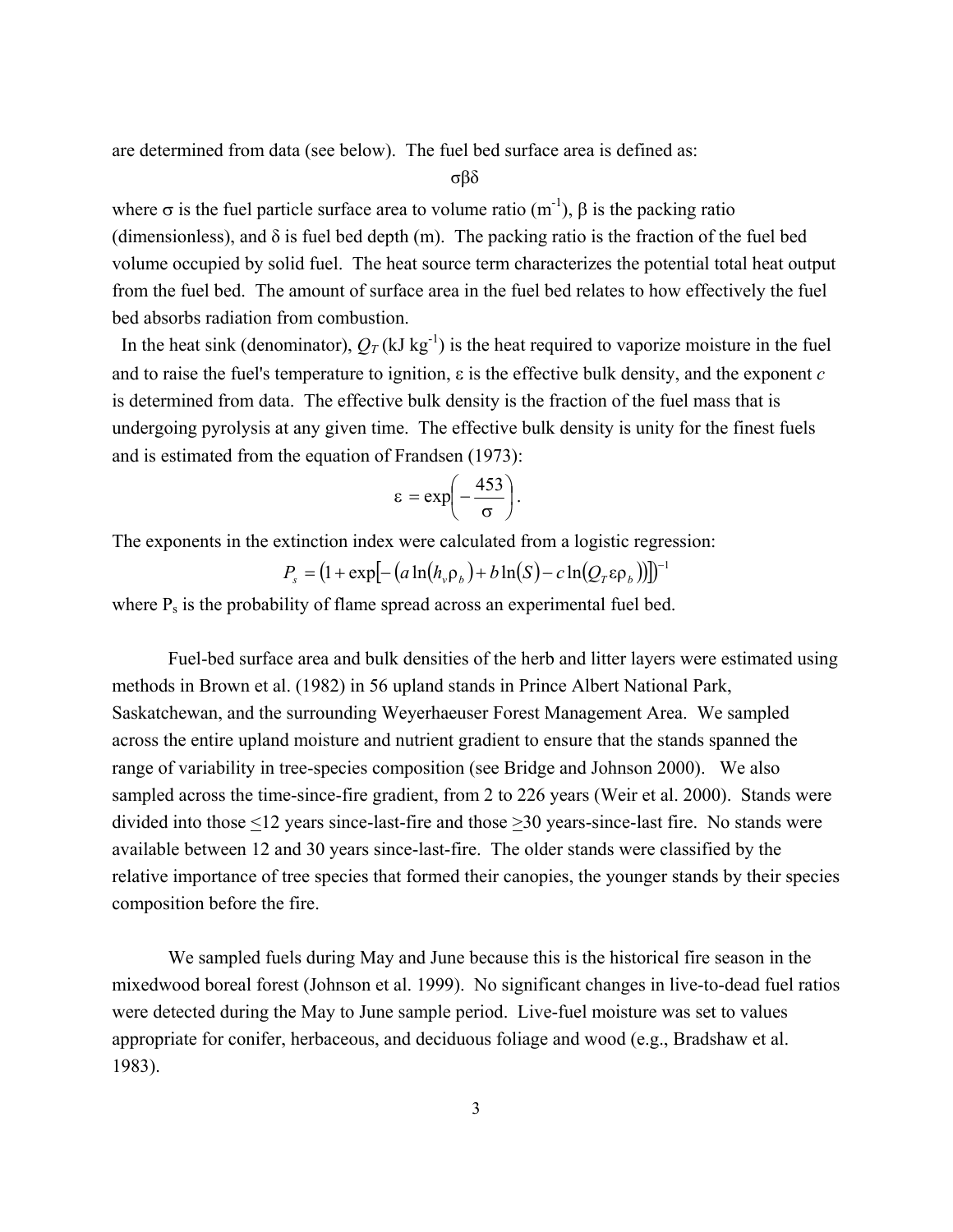are determined from data (see below). The fuel bed surface area is defined as:

σβδ

where  $\sigma$  is the fuel particle surface area to volume ratio (m<sup>-1</sup>),  $\beta$  is the packing ratio (dimensionless), and  $\delta$  is fuel bed depth (m). The packing ratio is the fraction of the fuel bed volume occupied by solid fuel. The heat source term characterizes the potential total heat output from the fuel bed. The amount of surface area in the fuel bed relates to how effectively the fuel bed absorbs radiation from combustion.

In the heat sink (denominator),  $Q_T$  (kJ kg<sup>-1</sup>) is the heat required to vaporize moisture in the fuel and to raise the fuel's temperature to ignition, ε is the effective bulk density, and the exponent *c* is determined from data. The effective bulk density is the fraction of the fuel mass that is undergoing pyrolysis at any given time. The effective bulk density is unity for the finest fuels and is estimated from the equation of Frandsen (1973):

$$
\varepsilon = \exp\left(-\frac{453}{\sigma}\right).
$$

The exponents in the extinction index were calculated from a logistic regression:

$$
P_s = (1 + \exp[-(a \ln(h_v \rho_b) + b \ln(S) - c \ln(Q_r \varepsilon \rho_b))])^{-1}
$$

where  $P_s$  is the probability of flame spread across an experimental fuel bed.

Fuel-bed surface area and bulk densities of the herb and litter layers were estimated using methods in Brown et al. (1982) in 56 upland stands in Prince Albert National Park, Saskatchewan, and the surrounding Weyerhaeuser Forest Management Area. We sampled across the entire upland moisture and nutrient gradient to ensure that the stands spanned the range of variability in tree-species composition (see Bridge and Johnson 2000). We also sampled across the time-since-fire gradient, from 2 to 226 years (Weir et al. 2000). Stands were divided into those <12 years since-last-fire and those >30 years-since-last fire. No stands were available between 12 and 30 years since-last-fire. The older stands were classified by the relative importance of tree species that formed their canopies, the younger stands by their species composition before the fire.

We sampled fuels during May and June because this is the historical fire season in the mixedwood boreal forest (Johnson et al. 1999). No significant changes in live-to-dead fuel ratios were detected during the May to June sample period. Live-fuel moisture was set to values appropriate for conifer, herbaceous, and deciduous foliage and wood (e.g., Bradshaw et al. 1983).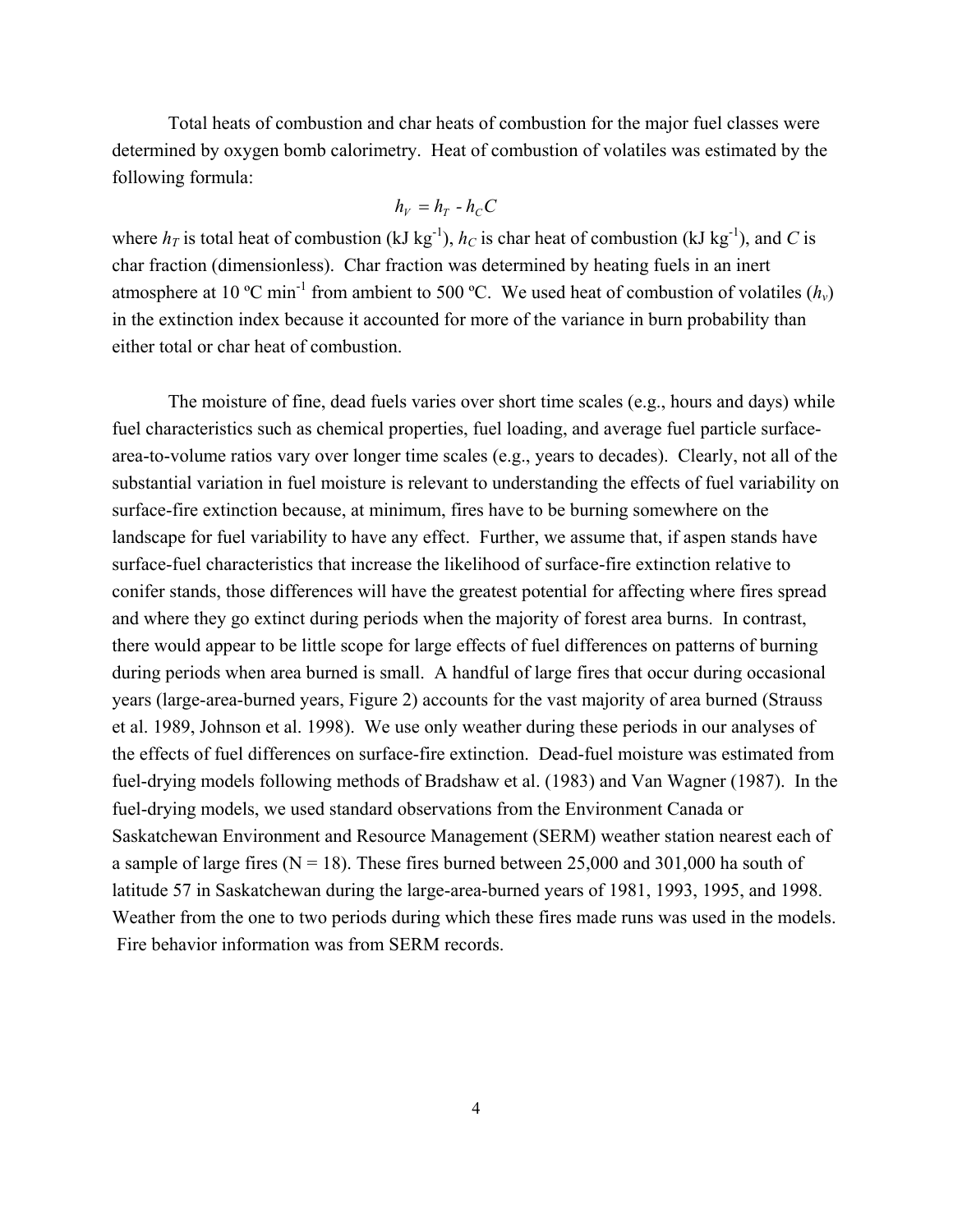Total heats of combustion and char heats of combustion for the major fuel classes were determined by oxygen bomb calorimetry. Heat of combustion of volatiles was estimated by the following formula:

$$
h_V = h_T - h_C C
$$

where  $h_T$  is total heat of combustion (kJ kg<sup>-1</sup>),  $h_C$  is char heat of combustion (kJ kg<sup>-1</sup>), and *C* is char fraction (dimensionless). Char fraction was determined by heating fuels in an inert atmosphere at 10 °C min<sup>-1</sup> from ambient to 500 °C. We used heat of combustion of volatiles  $(h_v)$ in the extinction index because it accounted for more of the variance in burn probability than either total or char heat of combustion.

The moisture of fine, dead fuels varies over short time scales (e.g., hours and days) while fuel characteristics such as chemical properties, fuel loading, and average fuel particle surfacearea-to-volume ratios vary over longer time scales (e.g., years to decades). Clearly, not all of the substantial variation in fuel moisture is relevant to understanding the effects of fuel variability on surface-fire extinction because, at minimum, fires have to be burning somewhere on the landscape for fuel variability to have any effect. Further, we assume that, if aspen stands have surface-fuel characteristics that increase the likelihood of surface-fire extinction relative to conifer stands, those differences will have the greatest potential for affecting where fires spread and where they go extinct during periods when the majority of forest area burns. In contrast, there would appear to be little scope for large effects of fuel differences on patterns of burning during periods when area burned is small. A handful of large fires that occur during occasional years (large-area-burned years, Figure 2) accounts for the vast majority of area burned (Strauss et al. 1989, Johnson et al. 1998). We use only weather during these periods in our analyses of the effects of fuel differences on surface-fire extinction. Dead-fuel moisture was estimated from fuel-drying models following methods of Bradshaw et al. (1983) and Van Wagner (1987). In the fuel-drying models, we used standard observations from the Environment Canada or Saskatchewan Environment and Resource Management (SERM) weather station nearest each of a sample of large fires ( $N = 18$ ). These fires burned between 25,000 and 301,000 ha south of latitude 57 in Saskatchewan during the large-area-burned years of 1981, 1993, 1995, and 1998. Weather from the one to two periods during which these fires made runs was used in the models. Fire behavior information was from SERM records.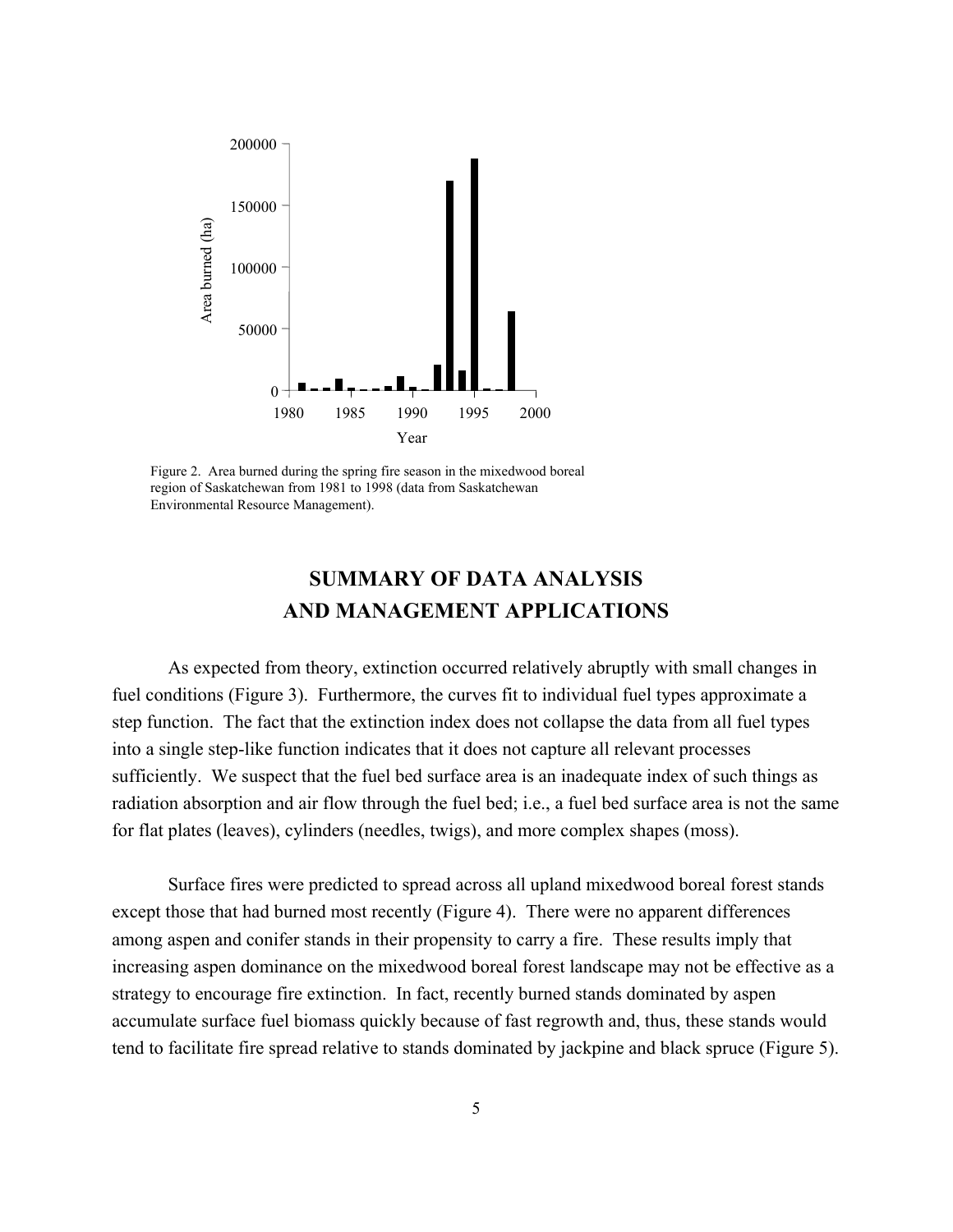

Figure 2. Area burned during the spring fire season in the mixedwood boreal region of Saskatchewan from 1981 to 1998 (data from Saskatchewan Environmental Resource Management).

#### **SUMMARY OF DATA ANALYSIS AND MANAGEMENT APPLICATIONS**

As expected from theory, extinction occurred relatively abruptly with small changes in fuel conditions (Figure 3). Furthermore, the curves fit to individual fuel types approximate a step function. The fact that the extinction index does not collapse the data from all fuel types into a single step-like function indicates that it does not capture all relevant processes sufficiently. We suspect that the fuel bed surface area is an inadequate index of such things as radiation absorption and air flow through the fuel bed; i.e., a fuel bed surface area is not the same for flat plates (leaves), cylinders (needles, twigs), and more complex shapes (moss).

Surface fires were predicted to spread across all upland mixedwood boreal forest stands except those that had burned most recently (Figure 4). There were no apparent differences among aspen and conifer stands in their propensity to carry a fire. These results imply that increasing aspen dominance on the mixedwood boreal forest landscape may not be effective as a strategy to encourage fire extinction. In fact, recently burned stands dominated by aspen accumulate surface fuel biomass quickly because of fast regrowth and, thus, these stands would tend to facilitate fire spread relative to stands dominated by jackpine and black spruce (Figure 5).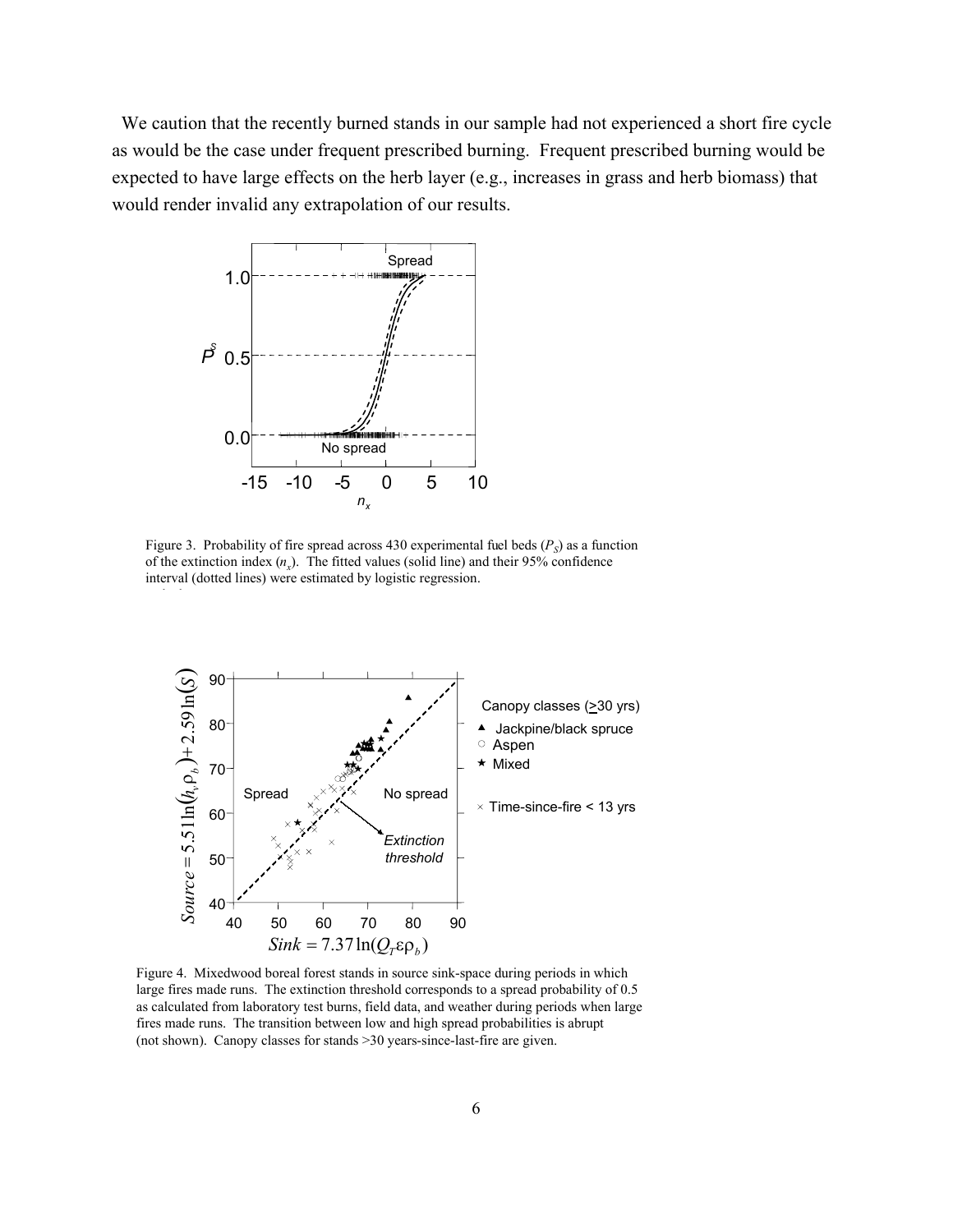We caution that the recently burned stands in our sample had not experienced a short fire cycle as would be the case under frequent prescribed burning. Frequent prescribed burning would be expected to have large effects on the herb layer (e.g., increases in grass and herb biomass) that would render invalid any extrapolation of our results.



h h

Figure 3. Probability of fire spread across 430 experimental fuel beds  $(P<sub>S</sub>)$  as a function of the extinction index  $(n_x)$ . The fitted values (solid line) and their 95% confidence interval (dotted lines) were estimated by logistic regression.



Figure 4. Mixedwood boreal forest stands in source sink-space during periods in which large fires made runs. The extinction threshold corresponds to a spread probability of 0.5 as calculated from laboratory test burns, field data, and weather during periods when large fires made runs. The transition between low and high spread probabilities is abrupt (not shown). Canopy classes for stands >30 years-since-last-fire are given.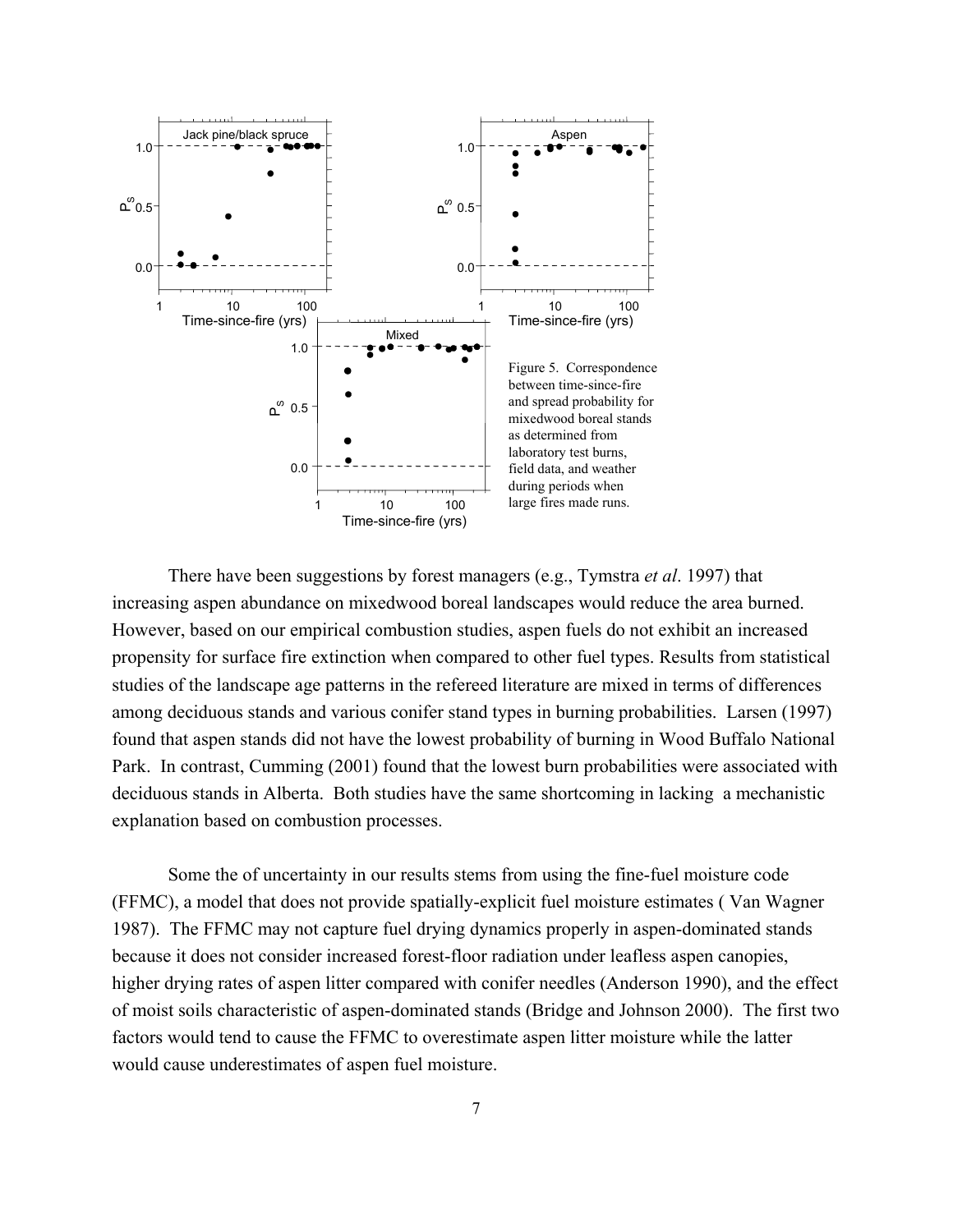

There have been suggestions by forest managers (e.g., Tymstra *et al*. 1997) that increasing aspen abundance on mixedwood boreal landscapes would reduce the area burned. However, based on our empirical combustion studies, aspen fuels do not exhibit an increased propensity for surface fire extinction when compared to other fuel types. Results from statistical studies of the landscape age patterns in the refereed literature are mixed in terms of differences among deciduous stands and various conifer stand types in burning probabilities. Larsen (1997) found that aspen stands did not have the lowest probability of burning in Wood Buffalo National Park. In contrast, Cumming (2001) found that the lowest burn probabilities were associated with deciduous stands in Alberta. Both studies have the same shortcoming in lacking a mechanistic explanation based on combustion processes.

Some the of uncertainty in our results stems from using the fine-fuel moisture code (FFMC), a model that does not provide spatially-explicit fuel moisture estimates ( Van Wagner 1987). The FFMC may not capture fuel drying dynamics properly in aspen-dominated stands because it does not consider increased forest-floor radiation under leafless aspen canopies, higher drying rates of aspen litter compared with conifer needles (Anderson 1990), and the effect of moist soils characteristic of aspen-dominated stands (Bridge and Johnson 2000). The first two factors would tend to cause the FFMC to overestimate aspen litter moisture while the latter would cause underestimates of aspen fuel moisture.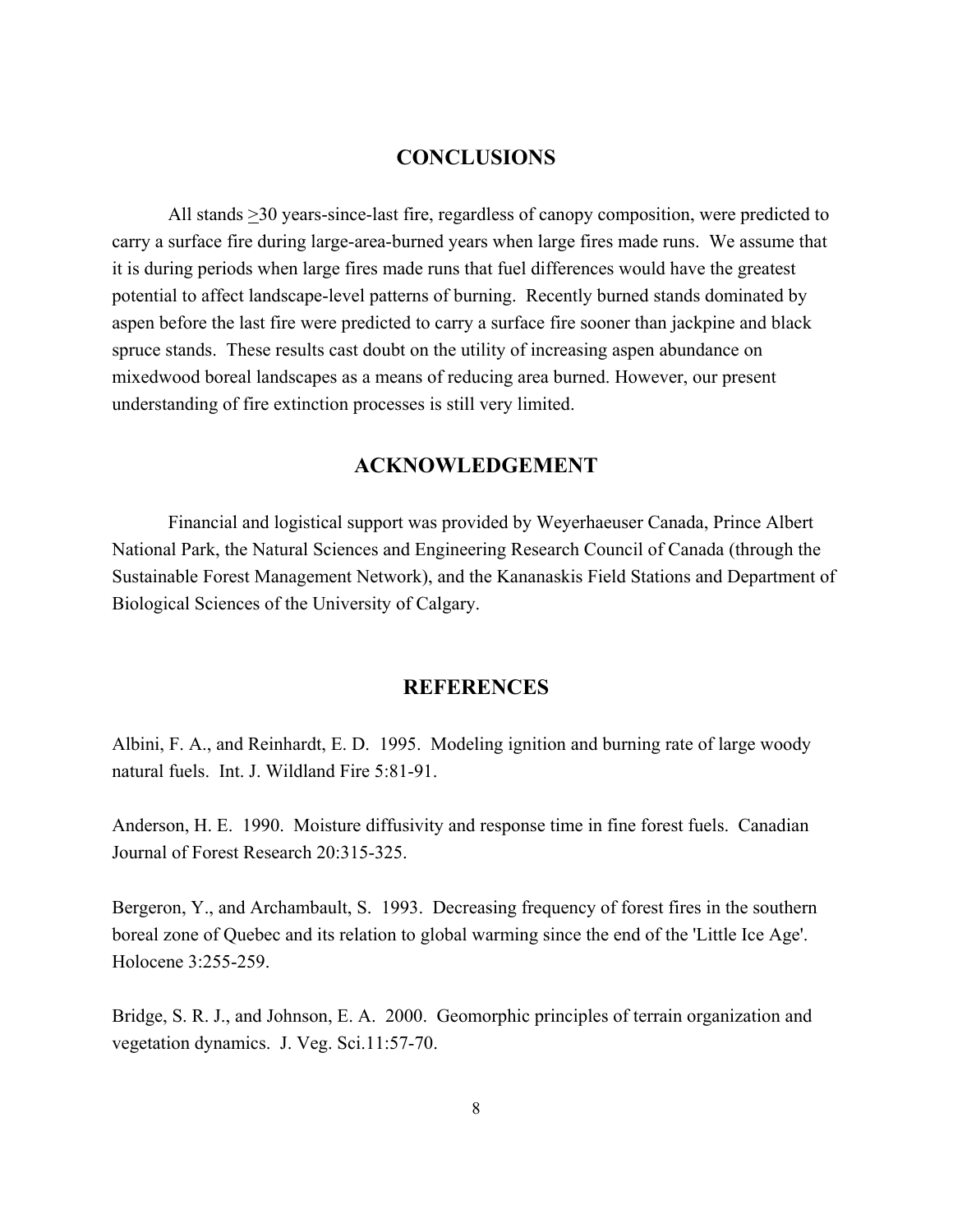#### **CONCLUSIONS**

All stands >30 years-since-last fire, regardless of canopy composition, were predicted to carry a surface fire during large-area-burned years when large fires made runs. We assume that it is during periods when large fires made runs that fuel differences would have the greatest potential to affect landscape-level patterns of burning. Recently burned stands dominated by aspen before the last fire were predicted to carry a surface fire sooner than jackpine and black spruce stands. These results cast doubt on the utility of increasing aspen abundance on mixedwood boreal landscapes as a means of reducing area burned. However, our present understanding of fire extinction processes is still very limited.

#### **ACKNOWLEDGEMENT**

Financial and logistical support was provided by Weyerhaeuser Canada, Prince Albert National Park, the Natural Sciences and Engineering Research Council of Canada (through the Sustainable Forest Management Network), and the Kananaskis Field Stations and Department of Biological Sciences of the University of Calgary.

#### **REFERENCES**

Albini, F. A., and Reinhardt, E. D. 1995. Modeling ignition and burning rate of large woody natural fuels. Int. J. Wildland Fire 5:81-91.

Anderson, H. E. 1990. Moisture diffusivity and response time in fine forest fuels. Canadian Journal of Forest Research 20:315-325.

Bergeron, Y., and Archambault, S. 1993. Decreasing frequency of forest fires in the southern boreal zone of Quebec and its relation to global warming since the end of the 'Little Ice Age'. Holocene 3:255-259.

Bridge, S. R. J., and Johnson, E. A. 2000. Geomorphic principles of terrain organization and vegetation dynamics. J. Veg. Sci.11:57-70.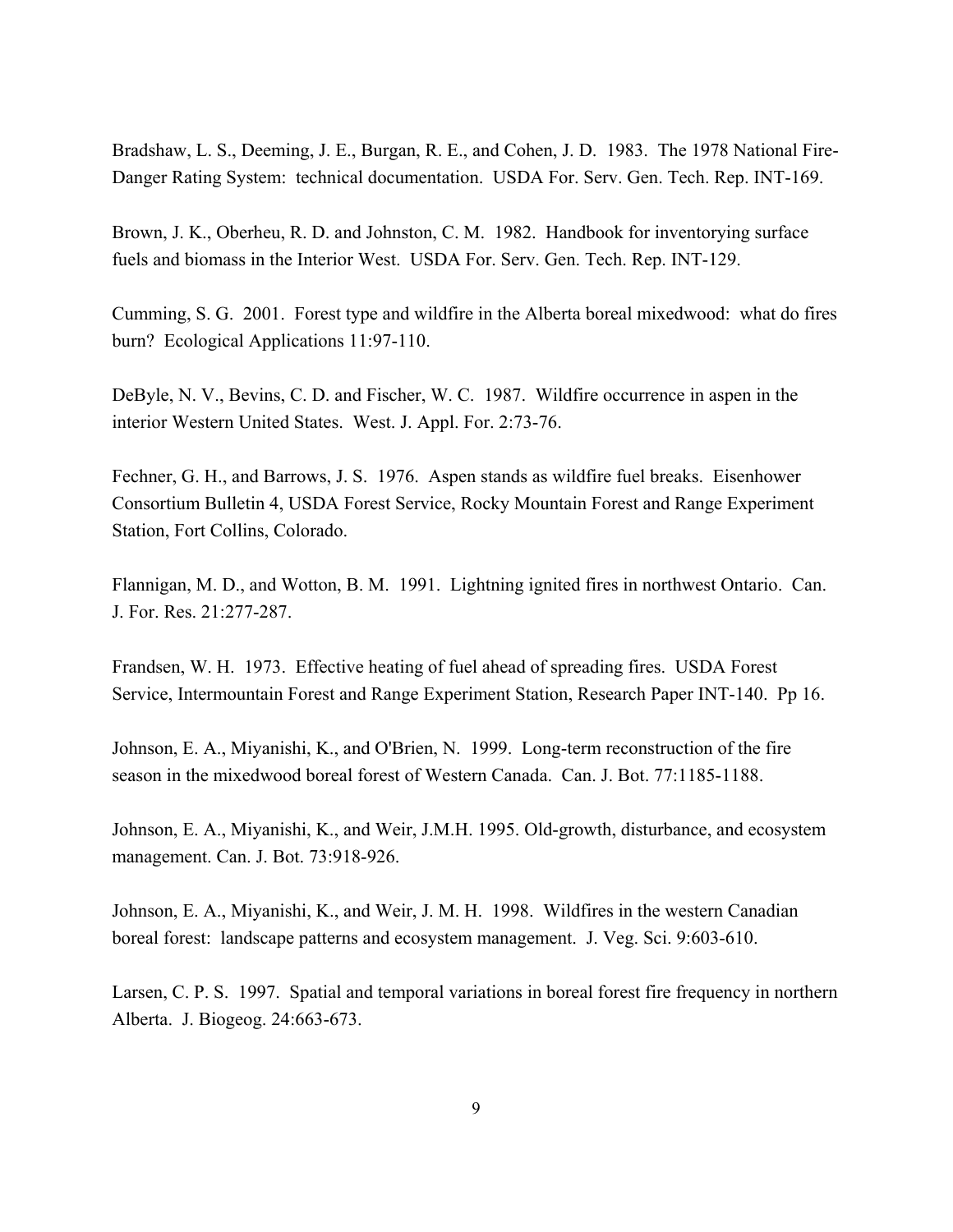Bradshaw, L. S., Deeming, J. E., Burgan, R. E., and Cohen, J. D. 1983. The 1978 National Fire-Danger Rating System: technical documentation. USDA For. Serv. Gen. Tech. Rep. INT-169.

Brown, J. K., Oberheu, R. D. and Johnston, C. M. 1982. Handbook for inventorying surface fuels and biomass in the Interior West. USDA For. Serv. Gen. Tech. Rep. INT-129.

Cumming, S. G. 2001. Forest type and wildfire in the Alberta boreal mixedwood: what do fires burn? Ecological Applications 11:97-110.

DeByle, N. V., Bevins, C. D. and Fischer, W. C. 1987. Wildfire occurrence in aspen in the interior Western United States. West. J. Appl. For. 2:73-76.

Fechner, G. H., and Barrows, J. S. 1976. Aspen stands as wildfire fuel breaks. Eisenhower Consortium Bulletin 4, USDA Forest Service, Rocky Mountain Forest and Range Experiment Station, Fort Collins, Colorado.

Flannigan, M. D., and Wotton, B. M. 1991. Lightning ignited fires in northwest Ontario. Can. J. For. Res. 21:277-287.

Frandsen, W. H. 1973. Effective heating of fuel ahead of spreading fires. USDA Forest Service, Intermountain Forest and Range Experiment Station, Research Paper INT-140. Pp 16.

Johnson, E. A., Miyanishi, K., and O'Brien, N. 1999. Long-term reconstruction of the fire season in the mixedwood boreal forest of Western Canada. Can. J. Bot. 77:1185-1188.

Johnson, E. A., Miyanishi, K., and Weir, J.M.H. 1995. Old-growth, disturbance, and ecosystem management. Can. J. Bot. 73:918-926.

Johnson, E. A., Miyanishi, K., and Weir, J. M. H. 1998. Wildfires in the western Canadian boreal forest: landscape patterns and ecosystem management. J. Veg. Sci. 9:603-610.

Larsen, C. P. S. 1997. Spatial and temporal variations in boreal forest fire frequency in northern Alberta. J. Biogeog. 24:663-673.